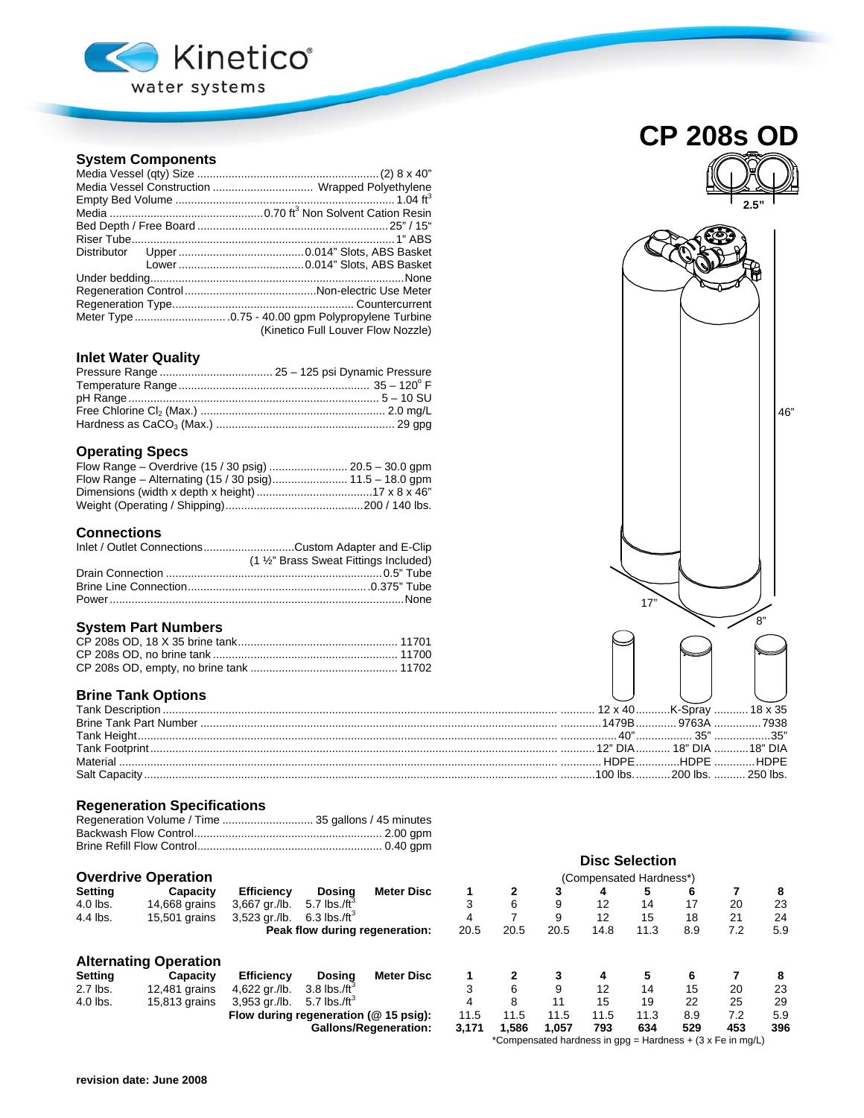

## **System Components**

| Media Vessel Construction  Wrapped Polyethylene |  |  |  |  |  |
|-------------------------------------------------|--|--|--|--|--|
|                                                 |  |  |  |  |  |
|                                                 |  |  |  |  |  |
|                                                 |  |  |  |  |  |
|                                                 |  |  |  |  |  |
|                                                 |  |  |  |  |  |
|                                                 |  |  |  |  |  |
|                                                 |  |  |  |  |  |
|                                                 |  |  |  |  |  |
|                                                 |  |  |  |  |  |
|                                                 |  |  |  |  |  |
| (Kinetico Full Louver Flow Nozzle)              |  |  |  |  |  |

# **Inlet Water Quality**

### **Operating Specs**

#### **Connections**

| Inlet / Outlet ConnectionsCustom Adapter and E-Clip |
|-----------------------------------------------------|
| (1 1/2" Brass Sweat Fittings Included)              |
|                                                     |
|                                                     |
|                                                     |

#### **System Part Numbers**

# **Brine Tank Options**

## **Regeneration Specifications**

| Regeneration Volume / Time  35 gallons / 45 minutes |  |
|-----------------------------------------------------|--|
|                                                     |  |
|                                                     |  |

## **Overdrive Operation**

| <b>Setting</b> | Capacity      | <b>Efficiency</b> | Dosina                   | <b>Meter Disc</b>              |
|----------------|---------------|-------------------|--------------------------|--------------------------------|
| $4.0$ lbs.     | 14,668 grains | 3.667 ar./lb.     | 5.7 lbs./ft <sup>3</sup> |                                |
| 4.4 lbs.       | 15,501 grains | 3.523 ar./lb.     | 6.3 lbs./ft $^3$         |                                |
|                |               |                   |                          | Peak flow during regeneration: |

## **Alternating Operation**

| Setting  | Capacity      | Efficiency                               | Dosina | Meter Disc                   |       |       |       |      |      |     |     |     |
|----------|---------------|------------------------------------------|--------|------------------------------|-------|-------|-------|------|------|-----|-----|-----|
| 2.7 lbs. | 12.481 grains | 4,622 gr./lb. $3.8$ lbs./ft <sup>3</sup> |        |                              |       |       |       |      | 14   | 15  | 20  | 23  |
| 4.0 lbs. | 15.813 arains | 3,953 gr./lb. 5.7 lbs./ft <sup>3</sup>   |        |                              |       |       |       |      | 19   | 22  |     | 29  |
|          |               | Flow during regeneration ( $@$ 15 psig): |        |                              | 11.5  | 11.5  | 11.5  | 11.5 | 11.3 | 8.9 |     | 5.9 |
|          |               |                                          |        | <b>Gallons/Regeneration:</b> | 3.171 | 1.586 | 1.057 | 793  | 634  | 529 | 453 | 396 |



|          | Overdrive Operation            |                                       |                               |                              |       |       |       |      | (Compensated Hardness*) |     |                                                            |     |
|----------|--------------------------------|---------------------------------------|-------------------------------|------------------------------|-------|-------|-------|------|-------------------------|-----|------------------------------------------------------------|-----|
| Setting  | Capacity                       | Efficiency                            | Dosina                        | <b>Meter Disc</b>            |       |       | 3     | 4    |                         | 6   |                                                            | 8   |
| 4.0 lbs. | 14,668 grains                  | 3,667 gr./lb.                         | 5.7 lbs./ft <sup>3</sup>      |                              |       | 6     | 9     | 12   | 14                      | 17  | 20                                                         | 23  |
| 4.4 lbs. | 15,501 grains                  | 3,523 gr./lb.                         | $6.3$ lbs./ft <sup>3</sup>    |                              | 4     |       | 9     | 12   | 15                      | 18  | 21                                                         | 24  |
|          | Peak flow during regeneration: |                                       |                               |                              | 20.5  | 20.5  | 20.5  | 14.8 | 11.3                    | 8.9 | 7.2                                                        | 5.9 |
|          | <b>Alternating Operation</b>   |                                       |                               |                              |       |       |       |      |                         |     |                                                            |     |
| Setting  | Capacity                       | <b>Efficiency</b>                     | Dosina                        | Meter Disc                   |       |       | 3     | 4    |                         | 6   |                                                            | 8   |
| 2.7 lbs. | 12,481 grains                  | 4,622 gr./lb.                         | 3.8 $\text{lbs.}/\text{ft}^3$ |                              |       | 6     | 9     | 12   | 14                      | 15  | 20                                                         | 23  |
| 4.0 lbs. | 15,813 grains                  | $3,953$ gr./lb.                       | 5.7 $\text{lbs.}/\text{ft}^3$ |                              |       | 8     | 11    | 15   | 19                      | 22  | 25                                                         | 29  |
|          |                                | Flow during regeneration (@ 15 psig): |                               |                              | 11.5  | 11.5  | 11.5  | 11.5 | 11.3                    | 8.9 | 7.2                                                        | 5.9 |
|          |                                |                                       |                               | <b>Gallons/Regeneration:</b> | 3,171 | 1,586 | 1.057 | 793  | 634                     | 529 | 453                                                        | 396 |
|          |                                |                                       |                               |                              |       |       |       |      |                         |     | *Compensated hardness in gpg = Hardness + (3 x Fe in mg/L) |     |

**Disc Selection**